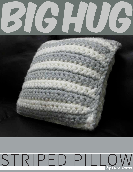### $\overline{\phantom{a}}$ 6 C

# STRIPED PILLO by Euro Yarns